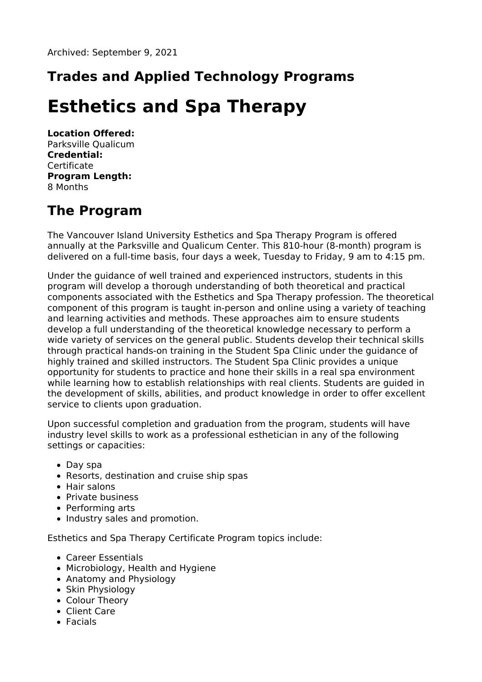# **Trades and Applied Technology Programs**

# **Esthetics and Spa Therapy**

**Location Offered:** Parksville Qualicum **Credential: Certificate Program Length:** 8 Months

# **The Program**

The Vancouver Island University Esthetics and Spa Therapy Program is offered annually at the Parksville and Qualicum Center. This 810-hour (8-month) program is delivered on a full-time basis, four days a week, Tuesday to Friday, 9 am to 4:15 pm.

Under the guidance of well trained and experienced instructors, students in this program will develop a thorough understanding of both theoretical and practical components associated with the Esthetics and Spa Therapy profession. The theoretical component of this program is taught in-person and online using a variety of teaching and learning activities and methods. These approaches aim to ensure students develop a full understanding of the theoretical knowledge necessary to perform a wide variety of services on the general public. Students develop their technical skills through practical hands-on training in the Student Spa Clinic under the guidance of highly trained and skilled instructors. The Student Spa Clinic provides a unique opportunity for students to practice and hone their skills in a real spa environment while learning how to establish relationships with real clients. Students are guided in the development of skills, abilities, and product knowledge in order to offer excellent service to clients upon graduation.

Upon successful completion and graduation from the program, students will have industry level skills to work as a professional esthetician in any of the following settings or capacities:

- Day spa
- Resorts, destination and cruise ship spas
- Hair salons
- Private business
- Performing arts
- Industry sales and promotion.

Esthetics and Spa Therapy Certificate Program topics include:

- Career Essentials
- Microbiology, Health and Hygiene
- Anatomy and Physiology
- Skin Physiology
- Colour Theory
- Client Care
- Facials